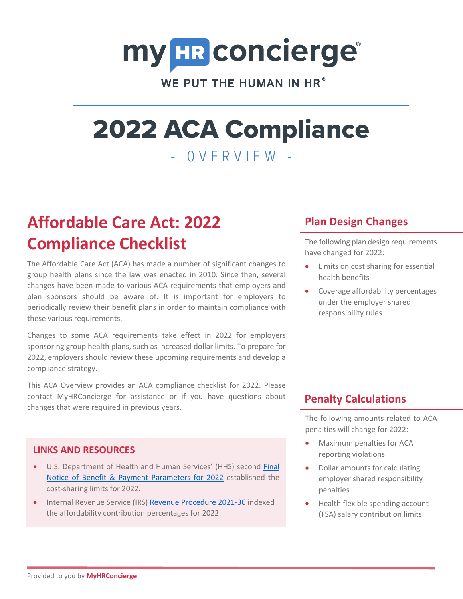# my HR concierge®

WE PUT THE HUMAN IN HR<sup>®</sup>

# 2022 ACA Compliance - 0VERVIEW -

# **Affordable Care Act: 2022 Compliance Checklist**

The Affordable Care Act (ACA) has made a number of significant changes to group health plans since the law was enacted in 2010. Since then, several changes have been made to various ACA requirements that employers and plan sponsors should be aware of. It is important for employers to periodically review their benefit plans in order to maintain compliance with these various requirements.

Changes to some ACA requirements take effect in 2022 for employers sponsoring group health plans, such as increased dollar limits. To prepare for 2022, employers should review these upcoming requirements and develop a compliance strategy.

This ACA Overview provides an ACA compliance checklist for 2022. Please contact MyHRConcierge for assistance or if you have questions about changes that were required in previous years.

# **Plan Design Changes**

The following plan design requirements have changed for 2022:

- Limits on cost sharing for essential health benefits
- Coverage affordability percentages under the employer shared responsibility rules

# **Penalty Calculations**

The following amounts related to ACA penalties will change for 2022:

- Maximum penalties for ACA reporting violations
- Dollar amounts for calculating employer shared responsibility penalties
- Health flexible spending account (FSA) salary contribution limits

# **LINKS AND RESOURCES**

- U.S. Department of Health and Human Services' (HHS) second Final Notice of Benefit & Payment Parameters for 2022 established the cost-sharing limits for 2022.
- Internal Revenue Service (IRS) Revenue Procedure 2021-36 indexed the affordability contribution percentages for 2022.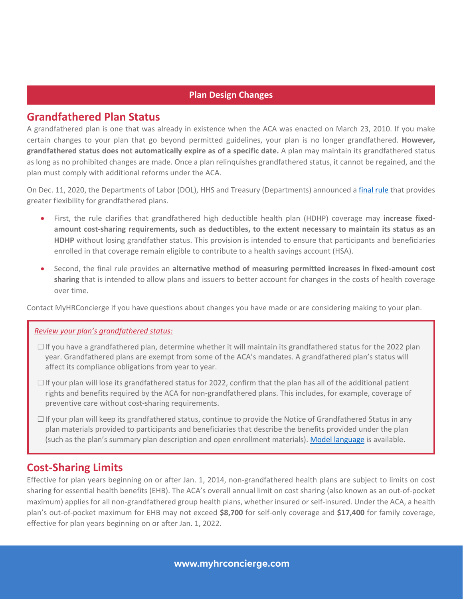#### **Plan Design Changes**

### **Grandfathered Plan Status**

A grandfathered plan is one that was already in existence when the ACA was enacted on March 23, 2010. If you make certain changes to your plan that go beyond permitted guidelines, your plan is no longer grandfathered. **However, grandfathered status does not automatically expire as of a specific date.** A plan may maintain its grandfathered status as long as no prohibited changes are made. Once a plan relinquishes grandfathered status, it cannot be regained, and the plan must comply with additional reforms under the ACA.

On Dec. 11, 2020, the Departments of Labor (DOL), HHS and Treasury (Departments) announced a *final rule* that provides greater flexibility for grandfathered plans.

- First, the rule clarifies that grandfathered high deductible health plan (HDHP) coverage may **increase fixedamount cost-sharing requirements, such as deductibles, to the extent necessary to maintain its status as an HDHP** without losing grandfather status. This provision is intended to ensure that participants and beneficiaries enrolled in that coverage remain eligible to contribute to a health savings account (HSA).
- Second, the final rule provides an **alternative method of measuring permitted increases in fixed-amount cost sharing** that is intended to allow plans and issuers to better account for changes in the costs of health coverage over time.

Contact MyHRConcierge if you have questions about changes you have made or are considering making to your plan.

#### *Review your plan's grandfathered status:*

- $\Box$  If you have a grandfathered plan, determine whether it will maintain its grandfathered status for the 2022 plan year. Grandfathered plans are exempt from some of the ACA's mandates. A grandfathered plan's status will affect its compliance obligations from year to year.
- $\Box$  If your plan will lose its grandfathered status for 2022, confirm that the plan has all of the additional patient rights and benefits required by the ACA for non-grandfathered plans. This includes, for example, coverage of preventive care without cost-sharing requirements.
- $\square$  If your plan will keep its grandfathered status, continue to provide the Notice of Grandfathered Status in any plan materials provided to participants and beneficiaries that describe the benefits provided under the plan (such as the plan's summary plan description and open enrollment materials). Model language is available.

# **Cost-Sharing Limits**

Effective for plan years beginning on or after Jan. 1, 2014, non-grandfathered health plans are subject to limits on cost sharing for essential health benefits (EHB). The ACA's overall annual limit on cost sharing (also known as an out-of-pocket maximum) applies for all non-grandfathered group health plans, whether insured or self-insured. Under the ACA, a health plan's out-of-pocket maximum for EHB may not exceed **\$8,700** for self-only coverage and **\$17,400** for family coverage, effective for plan years beginning on or after Jan. 1, 2022.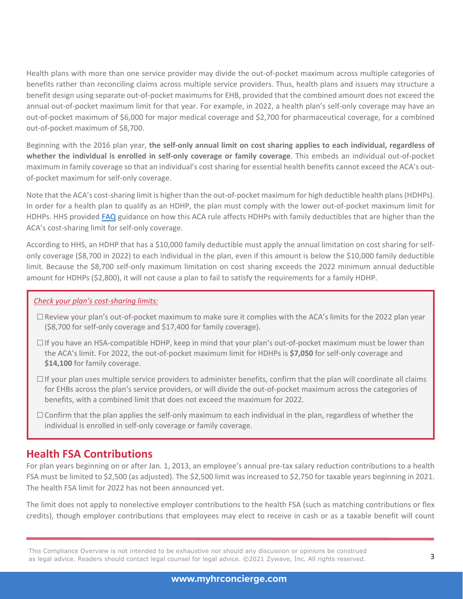Health plans with more than one service provider may divide the out-of-pocket maximum across multiple categories of benefits rather than reconciling claims across multiple service providers. Thus, health plans and issuers may structure a benefit design using separate out-of-pocket maximums for EHB, provided that the combined amount does not exceed the annual out-of-pocket maximum limit for that year. For example, in 2022, a health plan's self-only coverage may have an out-of-pocket maximum of \$6,000 for major medical coverage and \$2,700 for pharmaceutical coverage, for a combined out-of-pocket maximum of \$8,700.

Beginning with the 2016 plan year, **the self-only annual limit on cost sharing applies to each individual, regardless of whether the individual is enrolled in self-only coverage or family coverage**. This embeds an individual out-of-pocket maximum in family coverage so that an individual's cost sharing for essential health benefits cannot exceed the ACA's outof-pocket maximum for self-only coverage.

Note that the ACA's cost-sharing limit is higher than the out-of-pocket maximum for high deductible health plans (HDHPs). In order for a health plan to qualify as an HDHP, the plan must comply with the lower out-of-pocket maximum limit for HDHPs. HHS provided FAQ guidance on how this ACA rule affects HDHPs with family deductibles that are higher than the ACA's cost-sharing limit for self-only coverage.

According to HHS, an HDHP that has a \$10,000 family deductible must apply the annual limitation on cost sharing for selfonly coverage (\$8,700 in 2022) to each individual in the plan, even if this amount is below the \$10,000 family deductible limit. Because the \$8,700 self-only maximum limitation on cost sharing exceeds the 2022 minimum annual deductible amount for HDHPs (\$2,800), it will not cause a plan to fail to satisfy the requirements for a family HDHP.

#### *Check your plan's cost-sharing limits:*

- □Review your plan's out-of-pocket maximum to make sure it complies with the ACA's limits for the 2022 plan year (\$8,700 for self-only coverage and \$17,400 for family coverage).
- $\square$  If you have an HSA-compatible HDHP, keep in mind that your plan's out-of-pocket maximum must be lower than the ACA's limit. For 2022, the out-of-pocket maximum limit for HDHPs is **\$7,050** for self-only coverage and **\$14,100** for family coverage.
- $\Box$  If your plan uses multiple service providers to administer benefits, confirm that the plan will coordinate all claims for EHBs across the plan's service providers, or will divide the out-of-pocket maximum across the categories of benefits, with a combined limit that does not exceed the maximum for 2022.
- $\Box$  Confirm that the plan applies the self-only maximum to each individual in the plan, regardless of whether the individual is enrolled in self-only coverage or family coverage.

# **Health FSA Contributions**

For plan years beginning on or after Jan. 1, 2013, an employee's annual pre-tax salary reduction contributions to a health FSA must be limited to \$2,500 (as adjusted). The \$2,500 limit was increased to \$2,750 for taxable years beginning in 2021. The health FSA limit for 2022 has not been announced yet.

The limit does not apply to nonelective employer contributions to the health FSA (such as matching contributions or flex credits), though employer contributions that employees may elect to receive in cash or as a taxable benefit will count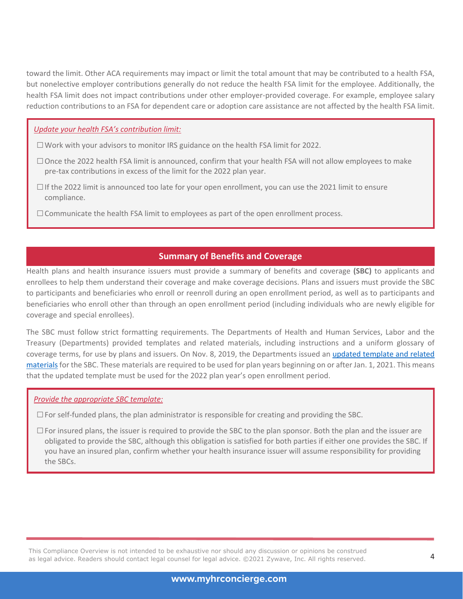toward the limit. Other ACA requirements may impact or limit the total amount that may be contributed to a health FSA, but nonelective employer contributions generally do not reduce the health FSA limit for the employee. Additionally, the health FSA limit does not impact contributions under other employer-provided coverage. For example, employee salary reduction contributions to an FSA for dependent care or adoption care assistance are not affected by the health FSA limit.

#### *Update your health FSA's contribution limit:*

- $\Box$  Work with your advisors to monitor IRS guidance on the health FSA limit for 2022.
- □Once the 2022 health FSA limit is announced, confirm that your health FSA will not allow employees to make pre-tax contributions in excess of the limit for the 2022 plan year.
- $\Box$  If the 2022 limit is announced too late for your open enrollment, you can use the 2021 limit to ensure compliance.
- $\square$  Communicate the health FSA limit to employees as part of the open enrollment process.

#### **Summary of Benefits and Coverage**

Health plans and health insurance issuers must provide a summary of benefits and coverage **(SBC)** to applicants and enrollees to help them understand their coverage and make coverage decisions. Plans and issuers must provide the SBC to participants and beneficiaries who enroll or reenroll during an open enrollment period, as well as to participants and beneficiaries who enroll other than through an open enrollment period (including individuals who are newly eligible for coverage and special enrollees).

The SBC must follow strict formatting requirements. The Departments of Health and Human Services, Labor and the Treasury (Departments) provided templates and related materials, including instructions and a uniform glossary of coverage terms, for use by plans and issuers. On Nov. 8, 2019, the Departments issued an updated template and related materials for the SBC. These materials are required to be used for plan years beginning on or after Jan. 1, 2021. This means that the updated template must be used for the 2022 plan year's open enrollment period.

#### *Provide the appropriate SBC template:*

 $\square$  For self-funded plans, the plan administrator is responsible for creating and providing the SBC.

 $\square$  For insured plans, the issuer is required to provide the SBC to the plan sponsor. Both the plan and the issuer are obligated to provide the SBC, although this obligation is satisfied for both parties if either one provides the SBC. If you have an insured plan, confirm whether your health insurance issuer will assume responsibility for providing the SBCs.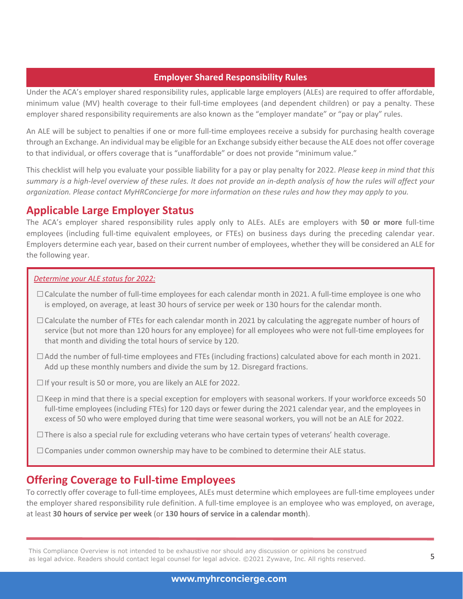#### **Employer Shared Responsibility Rules**

Under the ACA's employer shared responsibility rules, applicable large employers (ALEs) are required to offer affordable, minimum value (MV) health coverage to their full-time employees (and dependent children) or pay a penalty. These employer shared responsibility requirements are also known as the "employer mandate" or "pay or play" rules.

An ALE will be subject to penalties if one or more full-time employees receive a subsidy for purchasing health coverage through an Exchange. An individual may be eligible for an Exchange subsidy either because the ALE does not offer coverage to that individual, or offers coverage that is "unaffordable" or does not provide "minimum value."

This checklist will help you evaluate your possible liability for a pay or play penalty for 2022. *Please keep in mind that this summary is a high-level overview of these rules. It does not provide an in-depth analysis of how the rules will affect your organization. Please contact MyHRConcierge for more information on these rules and how they may apply to you.*

# **Applicable Large Employer Status**

The ACA's employer shared responsibility rules apply only to ALEs. ALEs are employers with **50 or more** full-time employees (including full-time equivalent employees, or FTEs) on business days during the preceding calendar year. Employers determine each year, based on their current number of employees, whether they will be considered an ALE for the following year.

#### *Determine your ALE status for 2022:*

- □Calculate the number of full-time employees for each calendar month in 2021. A full-time employee is one who is employed, on average, at least 30 hours of service per week or 130 hours for the calendar month.
- $\Box$  Calculate the number of FTEs for each calendar month in 2021 by calculating the aggregate number of hours of service (but not more than 120 hours for any employee) for all employees who were not full-time employees for that month and dividing the total hours of service by 120.
- $\Box$  Add the number of full-time employees and FTEs (including fractions) calculated above for each month in 2021. Add up these monthly numbers and divide the sum by 12. Disregard fractions.
- □If your result is 50 or more, you are likely an ALE for 2022.
- $\Box$  Keep in mind that there is a special exception for employers with seasonal workers. If your workforce exceeds 50 full-time employees (including FTEs) for 120 days or fewer during the 2021 calendar year, and the employees in excess of 50 who were employed during that time were seasonal workers, you will not be an ALE for 2022.
- $\square$  There is also a special rule for excluding veterans who have certain types of veterans' health coverage.
- $\Box$  Companies under common ownership may have to be combined to determine their ALE status.

# **Offering Coverage to Full-time Employees**

To correctly offer coverage to full-time employees, ALEs must determine which employees are full-time employees under the employer shared responsibility rule definition. A full-time employee is an employee who was employed, on average, at least **30 hours of service per week** (or **130 hours of service in a calendar month**).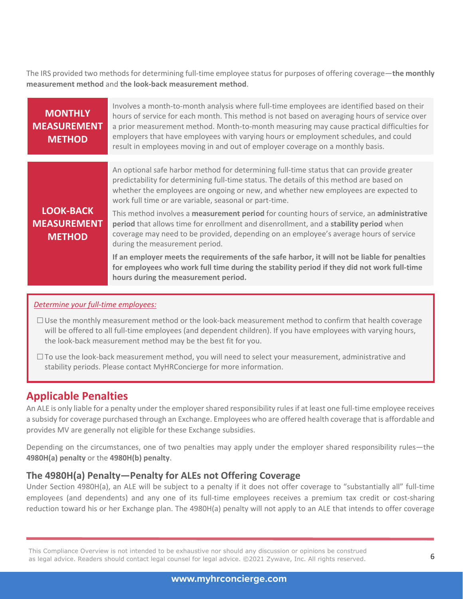The IRS provided two methods for determining full-time employee status for purposes of offering coverage—**the monthly measurement method** and **the look-back measurement method**.

| <b>MONTHLY</b><br><b>MEASUREMENT</b><br><b>METHOD</b>   | Involves a month-to-month analysis where full-time employees are identified based on their<br>hours of service for each month. This method is not based on averaging hours of service over<br>a prior measurement method. Month-to-month measuring may cause practical difficulties for<br>employers that have employees with varying hours or employment schedules, and could<br>result in employees moving in and out of employer coverage on a monthly basis. |
|---------------------------------------------------------|------------------------------------------------------------------------------------------------------------------------------------------------------------------------------------------------------------------------------------------------------------------------------------------------------------------------------------------------------------------------------------------------------------------------------------------------------------------|
|                                                         |                                                                                                                                                                                                                                                                                                                                                                                                                                                                  |
|                                                         | An optional safe harbor method for determining full-time status that can provide greater<br>predictability for determining full-time status. The details of this method are based on<br>whether the employees are ongoing or new, and whether new employees are expected to<br>work full time or are variable, seasonal or part-time.                                                                                                                            |
| <b>LOOK-BACK</b><br><b>MEASUREMENT</b><br><b>METHOD</b> | This method involves a measurement period for counting hours of service, an administrative<br>period that allows time for enrollment and disenrollment, and a stability period when<br>coverage may need to be provided, depending on an employee's average hours of service<br>during the measurement period.                                                                                                                                                   |
|                                                         | If an employer meets the requirements of the safe harbor, it will not be liable for penalties<br>for employees who work full time during the stability period if they did not work full-time<br>hours during the measurement period.                                                                                                                                                                                                                             |
|                                                         |                                                                                                                                                                                                                                                                                                                                                                                                                                                                  |

#### *Determine your full-time employees:*

- □Use the monthly measurement method or the look-back measurement method to confirm that health coverage will be offered to all full-time employees (and dependent children). If you have employees with varying hours, the look-back measurement method may be the best fit for you.
- $\square$  To use the look-back measurement method, you will need to select your measurement, administrative and stability periods. Please contact MyHRConcierge for more information.

# **Applicable Penalties**

An ALE is only liable for a penalty under the employer shared responsibility rules if at least one full-time employee receives a subsidy for coverage purchased through an Exchange. Employees who are offered health coverage that is affordable and provides MV are generally not eligible for these Exchange subsidies.

Depending on the circumstances, one of two penalties may apply under the employer shared responsibility rules—the **4980H(a) penalty** or the **4980H(b) penalty**.

#### **The 4980H(a) Penalty—Penalty for ALEs not Offering Coverage**

Under Section 4980H(a), an ALE will be subject to a penalty if it does not offer coverage to "substantially all" full-time employees (and dependents) and any one of its full-time employees receives a premium tax credit or cost-sharing reduction toward his or her Exchange plan. The 4980H(a) penalty will not apply to an ALE that intends to offer coverage

This Compliance Overview is not intended to be exhaustive nor should any discussion or opinions be construed<br>as legal advice. Readers should contact legal counsel for legal advice. ©2021 Zywave, Inc. All rights reserved.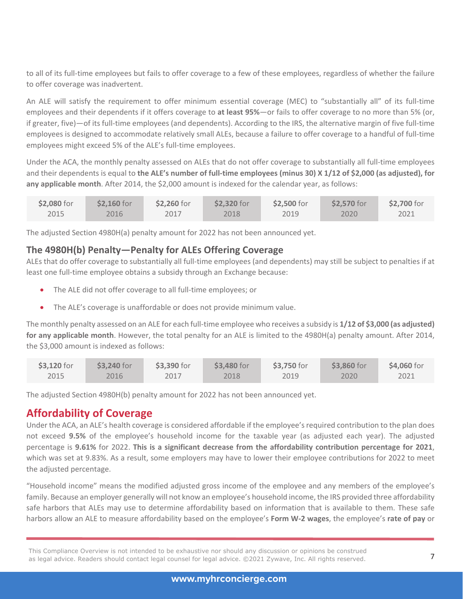to all of its full-time employees but fails to offer coverage to a few of these employees, regardless of whether the failure to offer coverage was inadvertent.

An ALE will satisfy the requirement to offer minimum essential coverage (MEC) to "substantially all" of its full-time employees and their dependents if it offers coverage to **at least 95%**—or fails to offer coverage to no more than 5% (or, if greater, five)—of its full-time employees (and dependents). According to the IRS, the alternative margin of five full-time employees is designed to accommodate relatively small ALEs, because a failure to offer coverage to a handful of full-time employees might exceed 5% of the ALE's full-time employees.

Under the ACA, the monthly penalty assessed on ALEs that do not offer coverage to substantially all full-time employees and their dependents is equal to **the ALE's number of full-time employees (minus 30) X 1/12 of \$2,000 (as adjusted), for**  any applicable month. After 2014, the \$2,000 amount is indexed for the calendar year, as follows:

| \$2,080 for | \$2,160 for | \$2,260 for | \$2,320 for | \$2,500 for | \$2,570 for | \$2,700 for |
|-------------|-------------|-------------|-------------|-------------|-------------|-------------|
| 2015        | 2016        | 2017        | 2018        | 2019        | 2020        | 2021        |

The adjusted Section 4980H(a) penalty amount for 2022 has not been announced yet.

### **The 4980H(b) Penalty—Penalty for ALEs Offering Coverage**

ALEs that do offer coverage to substantially all full-time employees (and dependents) may still be subject to penalties if at least one full-time employee obtains a subsidy through an Exchange because:

- The ALE did not offer coverage to all full-time employees; or
- The ALE's coverage is unaffordable or does not provide minimum value.

The monthly penalty assessed on an ALE for each full-time employee who receives a subsidy is **1/12 of \$3,000 (as adjusted) for any applicable month**. However, the total penalty for an ALE is limited to the 4980H(a) penalty amount. After 2014, the \$3,000 amount is indexed as follows:

| \$3,120 for | \$3,240 for | \$3,390 for | \$3,480 for | \$3,750 for | $$3,860$ for | \$4,060 for |
|-------------|-------------|-------------|-------------|-------------|--------------|-------------|
| 2015        | 2016        | 2017        | 2018        | 2019        | 2020         | 2021        |

The adjusted Section 4980H(b) penalty amount for 2022 has not been announced yet.

# **Affordability of Coverage**

Under the ACA, an ALE's health coverage is considered affordable if the employee's required contribution to the plan does not exceed **9.5%** of the employee's household income for the taxable year (as adjusted each year). The adjusted percentage is **9.61%** for 2022. **This is a significant decrease from the affordability contribution percentage for 2021**, which was set at 9.83%. As a result, some employers may have to lower their employee contributions for 2022 to meet the adjusted percentage.

"Household income" means the modified adjusted gross income of the employee and any members of the employee's family. Because an employer generally will not know an employee's household income, the IRS provided three affordability safe harbors that ALEs may use to determine affordability based on information that is available to them. These safe harbors allow an ALE to measure affordability based on the employee's **Form W-2 wages**, the employee's **rate of pay** or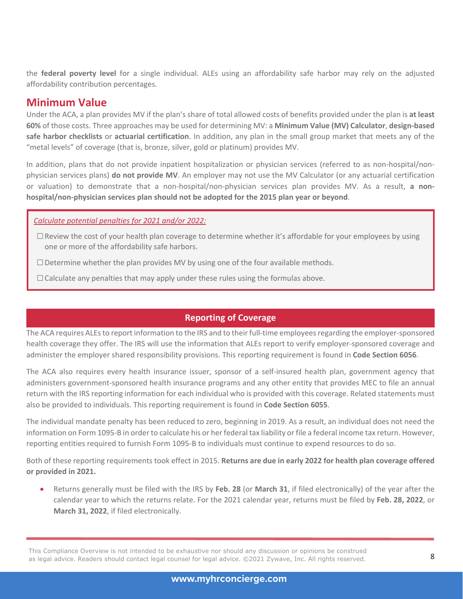the **federal poverty level** for a single individual. ALEs using an affordability safe harbor may rely on the adjusted affordability contribution percentages.

# **Minimum Value**

Under the ACA, a plan provides MV if the plan's share of total allowed costs of benefits provided under the plan is **at least 60%** of those costs. Three approaches may be used for determining MV: a **Minimum Value (MV) Calculator**, **design-based safe harbor checklists** or **actuarial certification**. In addition, any plan in the small group market that meets any of the "metal levels" of coverage (that is, bronze, silver, gold or platinum) provides MV.

In addition, plans that do not provide inpatient hospitalization or physician services (referred to as non-hospital/nonphysician services plans) **do not provide MV**. An employer may not use the MV Calculator (or any actuarial certification or valuation) to demonstrate that a non-hospital/non-physician services plan provides MV. As a result, **a nonhospital/non-physician services plan should not be adopted for the 2015 plan year or beyond**.

#### *Calculate potential penalties for 2021 and/or 2022:*

- $\square$  Review the cost of your health plan coverage to determine whether it's affordable for your employees by using one or more of the affordability safe harbors.
- $\square$  Determine whether the plan provides MV by using one of the four available methods.
- $\Box$  Calculate any penalties that may apply under these rules using the formulas above.

# **Reporting of Coverage**

The ACA requires ALEs to report information to the IRS and to their full-time employees regarding the employer-sponsored health coverage they offer. The IRS will use the information that ALEs report to verify employer-sponsored coverage and administer the employer shared responsibility provisions. This reporting requirement is found in **Code Section 6056**.

The ACA also requires every health insurance issuer, sponsor of a self-insured health plan, government agency that administers government-sponsored health insurance programs and any other entity that provides MEC to file an annual return with the IRS reporting information for each individual who is provided with this coverage. Related statements must also be provided to individuals. This reporting requirement is found in **Code Section 6055**.

The individual mandate penalty has been reduced to zero, beginning in 2019. As a result, an individual does not need the information on Form 1095-B in order to calculate his or her federal tax liability or file a federal income tax return. However, reporting entities required to furnish Form 1095-B to individuals must continue to expend resources to do so.

Both of these reporting requirements took effect in 2015. **Returns are due in early 2022 for health plan coverage offered or provided in 2021.**

• Returns generally must be filed with the IRS by **Feb. 28** (or **March 31**, if filed electronically) of the year after the calendar year to which the returns relate. For the 2021 calendar year, returns must be filed by **Feb. 28, 2022**, or **March 31, 2022**, if filed electronically.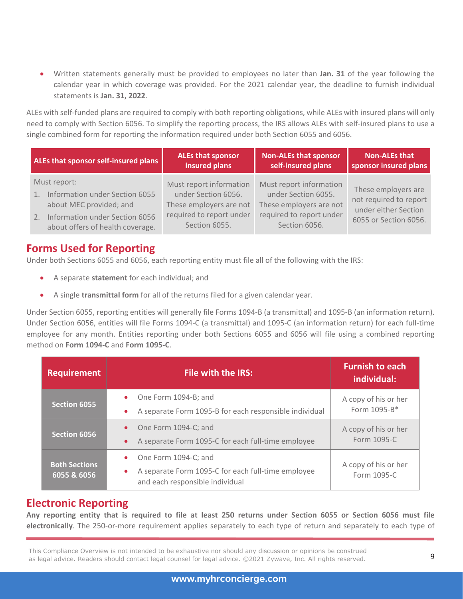• Written statements generally must be provided to employees no later than **Jan. 31** of the year following the calendar year in which coverage was provided. For the 2021 calendar year, the deadline to furnish individual statements is **Jan. 31, 2022**.

ALEs with self-funded plans are required to comply with both reporting obligations, while ALEs with insured plans will only need to comply with Section 6056. To simplify the reporting process, the IRS allows ALEs with self-insured plans to use a single combined form for reporting the information required under both Section 6055 and 6056.

| ALEs that sponsor self-insured plans                                                                                                                        | <b>ALEs that sponsor</b>                                                                                               | <b>Non-ALEs that sponsor</b>                                                                                           | <b>Non-ALEs that</b>                                                                           |
|-------------------------------------------------------------------------------------------------------------------------------------------------------------|------------------------------------------------------------------------------------------------------------------------|------------------------------------------------------------------------------------------------------------------------|------------------------------------------------------------------------------------------------|
|                                                                                                                                                             | insured plans                                                                                                          | self-insured plans                                                                                                     | sponsor insured plans                                                                          |
| Must report:<br>Information under Section 6055<br>1.<br>about MEC provided; and<br>Information under Section 6056<br>2.<br>about offers of health coverage. | Must report information<br>under Section 6056.<br>These employers are not<br>required to report under<br>Section 6055. | Must report information<br>under Section 6055.<br>These employers are not<br>required to report under<br>Section 6056. | These employers are<br>not required to report<br>under either Section<br>6055 or Section 6056. |

# **Forms Used for Reporting**

Under both Sections 6055 and 6056, each reporting entity must file all of the following with the IRS:

- A separate **statement** for each individual; and
- A single **transmittal form** for all of the returns filed for a given calendar year.

Under Section 6055, reporting entities will generally file Forms 1094-B (a transmittal) and 1095-B (an information return). Under Section 6056, entities will file Forms 1094-C (a transmittal) and 1095-C (an information return) for each full-time employee for any month. Entities reporting under both Sections 6055 and 6056 will file using a combined reporting method on **Form 1094-C** and **Form 1095-C**.

| <b>Requirement</b>                  | <b>File with the IRS:</b>                                                                                     | <b>Furnish to each</b><br>individual: |
|-------------------------------------|---------------------------------------------------------------------------------------------------------------|---------------------------------------|
| <b>Section 6055</b>                 | One Form 1094-B; and<br>A separate Form 1095-B for each responsible individual                                | A copy of his or her<br>Form 1095-B*  |
| <b>Section 6056</b>                 | One Form 1094-C; and<br>A separate Form 1095-C for each full-time employee                                    | A copy of his or her<br>Form 1095-C   |
| <b>Both Sections</b><br>6055 & 6056 | One Form 1094-C; and<br>A separate Form 1095-C for each full-time employee<br>and each responsible individual | A copy of his or her<br>Form 1095-C   |

# **Electronic Reporting**

**Any reporting entity that is required to file at least 250 returns under Section 6055 or Section 6056 must file electronically**. The 250-or-more requirement applies separately to each type of return and separately to each type of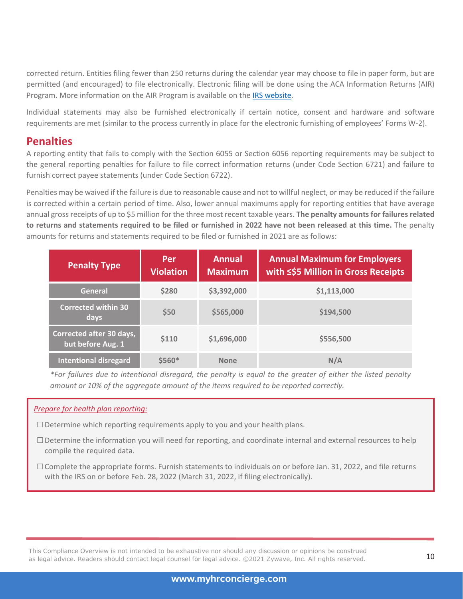corrected return. Entities filing fewer than 250 returns during the calendar year may choose to file in paper form, but are permitted (and encouraged) to file electronically. Electronic filing will be done using the ACA Information Returns (AIR) Program. More information on the AIR Program is available on the IRS website.

Individual statements may also be furnished electronically if certain notice, consent and hardware and software requirements are met (similar to the process currently in place for the electronic furnishing of employees' Forms W-2).

# **Penalties**

A reporting entity that fails to comply with the Section 6055 or Section 6056 reporting requirements may be subject to the general reporting penalties for failure to file correct information returns (under Code Section 6721) and failure to furnish correct payee statements (under Code Section 6722).

Penalties may be waived if the failure is due to reasonable cause and not to willful neglect, or may be reduced if the failure is corrected within a certain period of time. Also, lower annual maximums apply for reporting entities that have average annual gross receipts of up to \$5 million for the three most recent taxable years. **The penalty amounts for failures related to returns and statements required to be filed or furnished in 2022 have not been released at this time.** The penalty amounts for returns and statements required to be filed or furnished in 2021 are as follows:

| <b>Penalty Type</b>                           | Per<br><b>Violation</b> | <b>Annual</b><br><b>Maximum</b> | <b>Annual Maximum for Employers</b><br>with ≤\$5 Million in Gross Receipts |
|-----------------------------------------------|-------------------------|---------------------------------|----------------------------------------------------------------------------|
| <b>General</b>                                | \$280                   | \$3,392,000                     | \$1,113,000                                                                |
| <b>Corrected within 30</b><br>days            | \$50                    | \$565,000                       | \$194,500                                                                  |
| Corrected after 30 days,<br>but before Aug. 1 | \$110                   | \$1,696,000                     | \$556,500                                                                  |
| <b>Intentional disregard</b>                  | $$560*$                 | <b>None</b>                     | N/A                                                                        |

*\*For failures due to intentional disregard, the penalty is equal to the greater of either the listed penalty amount or 10% of the aggregate amount of the items required to be reported correctly.*

#### *Prepare for health plan reporting:*

 $\square$  Determine which reporting requirements apply to you and your health plans.

- □Determine the information you will need for reporting, and coordinate internal and external resources to help compile the required data.
- $\Box$  Complete the appropriate forms. Furnish statements to individuals on or before Jan. 31, 2022, and file returns with the IRS on or before Feb. 28, 2022 (March 31, 2022, if filing electronically).